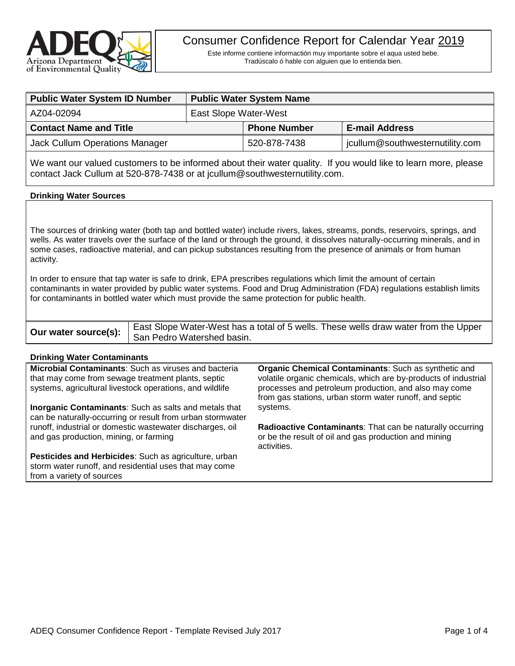

Este informe contiene informactión muy importante sobre el aqua usted bebe. Tradúscalo ó hable con alguien que lo entienda bien.

| <b>Public Water System ID Number</b> | <b>Public Water System Name</b> |                     |                                 |  |
|--------------------------------------|---------------------------------|---------------------|---------------------------------|--|
| AZ04-02094                           | East Slope Water-West           |                     |                                 |  |
| <b>Contact Name and Title</b>        |                                 | <b>Phone Number</b> | <b>E-mail Address</b>           |  |
| Jack Cullum Operations Manager       |                                 | 520-878-7438        | jcullum@southwesternutility.com |  |

We want our valued customers to be informed about their water quality. If you would like to learn more, please contact Jack Cullum at 520-878-7438 or at jcullum@southwesternutility.com.

### **Drinking Water Sources**

The sources of drinking water (both tap and bottled water) include rivers, lakes, streams, ponds, reservoirs, springs, and wells. As water travels over the surface of the land or through the ground, it dissolves naturally-occurring minerals, and in some cases, radioactive material, and can pickup substances resulting from the presence of animals or from human activity.

In order to ensure that tap water is safe to drink, EPA prescribes regulations which limit the amount of certain contaminants in water provided by public water systems. Food and Drug Administration (FDA) regulations establish limits for contaminants in bottled water which must provide the same protection for public health.

| East Slope Water-West has a total of 5 wells. These wells draw water from the Upper |
|-------------------------------------------------------------------------------------|
| <b>THE WATER SOURCE(S):</b> San Pedro Watershed basin.                              |

#### **Drinking Water Contaminants**

**Microbial Contaminants**: Such as viruses and bacteria that may come from sewage treatment plants, septic systems, agricultural livestock operations, and wildlife **Inorganic Contaminants**: Such as salts and metals that can be naturally-occurring or result from urban stormwater runoff, industrial or domestic wastewater discharges, oil and gas production, mining, or farming **Pesticides and Herbicides**: Such as agriculture, urban storm water runoff, and residential uses that may come from a variety of sources **Organic Chemical Contaminants**: Such as synthetic and volatile organic chemicals, which are by-products of industrial processes and petroleum production, and also may come from gas stations, urban storm water runoff, and septic systems. **Radioactive Contaminants**: That can be naturally occurring or be the result of oil and gas production and mining activities.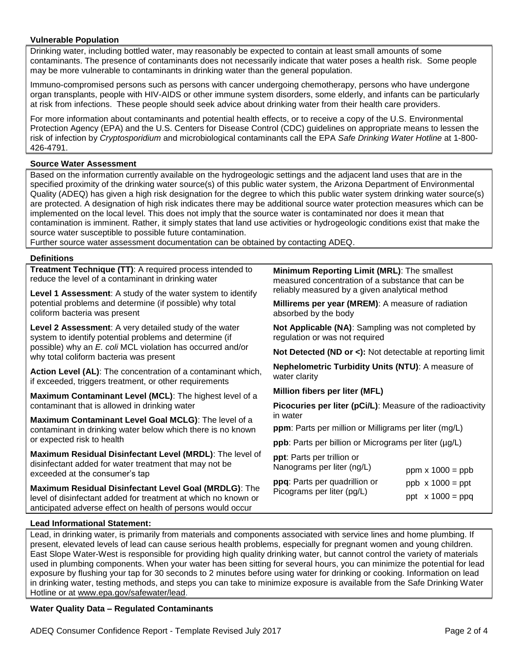## **Vulnerable Population**

Drinking water, including bottled water, may reasonably be expected to contain at least small amounts of some contaminants. The presence of contaminants does not necessarily indicate that water poses a health risk. Some people may be more vulnerable to contaminants in drinking water than the general population.

Immuno-compromised persons such as persons with cancer undergoing chemotherapy, persons who have undergone organ transplants, people with HIV-AIDS or other immune system disorders, some elderly, and infants can be particularly at risk from infections. These people should seek advice about drinking water from their health care providers.

For more information about contaminants and potential health effects, or to receive a copy of the U.S. Environmental Protection Agency (EPA) and the U.S. Centers for Disease Control (CDC) guidelines on appropriate means to lessen the risk of infection by *Cryptosporidium* and microbiological contaminants call the EPA *Safe Drinking Water Hotline* at 1-800- 426-4791.

# **Source Water Assessment**

Based on the information currently available on the hydrogeologic settings and the adjacent land uses that are in the specified proximity of the drinking water source(s) of this public water system, the Arizona Department of Environmental Quality (ADEQ) has given a high risk designation for the degree to which this public water system drinking water source(s) are protected. A designation of high risk indicates there may be additional source water protection measures which can be implemented on the local level. This does not imply that the source water is contaminated nor does it mean that contamination is imminent. Rather, it simply states that land use activities or hydrogeologic conditions exist that make the source water susceptible to possible future contamination.

Further source water assessment documentation can be obtained by contacting ADEQ.

### **Definitions**

**Treatment Technique (TT)**: A required process intended to reduce the level of a contaminant in drinking water

**Level 1 Assessment**: A study of the water system to identify potential problems and determine (if possible) why total coliform bacteria was present

**Level 2 Assessment**: A very detailed study of the water system to identify potential problems and determine (if possible) why an *E. coli* MCL violation has occurred and/or why total coliform bacteria was present

**Action Level (AL)**: The concentration of a contaminant which, if exceeded, triggers treatment, or other requirements

**Maximum Contaminant Level (MCL)**: The highest level of a contaminant that is allowed in drinking water

**Maximum Contaminant Level Goal MCLG)**: The level of a contaminant in drinking water below which there is no known or expected risk to health

**Maximum Residual Disinfectant Level (MRDL)**: The level of disinfectant added for water treatment that may not be exceeded at the consumer's tap

**Maximum Residual Disinfectant Level Goal (MRDLG)**: The level of disinfectant added for treatment at which no known or anticipated adverse effect on health of persons would occur

**Minimum Reporting Limit (MRL)**: The smallest measured concentration of a substance that can be reliably measured by a given analytical method

**Millirems per year (MREM)**: A measure of radiation absorbed by the body

**Not Applicable (NA)**: Sampling was not completed by regulation or was not required

**Not Detected (ND or <):** Not detectable at reporting limit

**Nephelometric Turbidity Units (NTU)**: A measure of water clarity

**Million fibers per liter (MFL)**

**Picocuries per liter (pCi/L)**: Measure of the radioactivity in water

**ppm**: Parts per million or Milligrams per liter (mg/L)

**ppb**: Parts per billion or Micrograms per liter (µg/L)

**ppt**: Parts per trillion or Nanograms per liter (ng/L)

| Nanograms per liter (ng/L)    | ppm $\times$ 1000 = ppb |
|-------------------------------|-------------------------|
| ppq: Parts per quadrillion or | $ppb \times 1000 = ppt$ |
| Picograms per liter (pg/L)    | ppt $\times$ 1000 = ppq |

### **Lead Informational Statement:**

Lead, in drinking water, is primarily from materials and components associated with service lines and home plumbing. If present, elevated levels of lead can cause serious health problems, especially for pregnant women and young children. East Slope Water-West is responsible for providing high quality drinking water, but cannot control the variety of materials used in plumbing components. When your water has been sitting for several hours, you can minimize the potential for lead exposure by flushing your tap for 30 seconds to 2 minutes before using water for drinking or cooking. Information on lead in drinking water, testing methods, and steps you can take to minimize exposure is available from the Safe Drinking Water Hotline or at [www.epa.gov/safewater/lead.](http://www.epa.gov/safewater/lead)

### **Water Quality Data – Regulated Contaminants**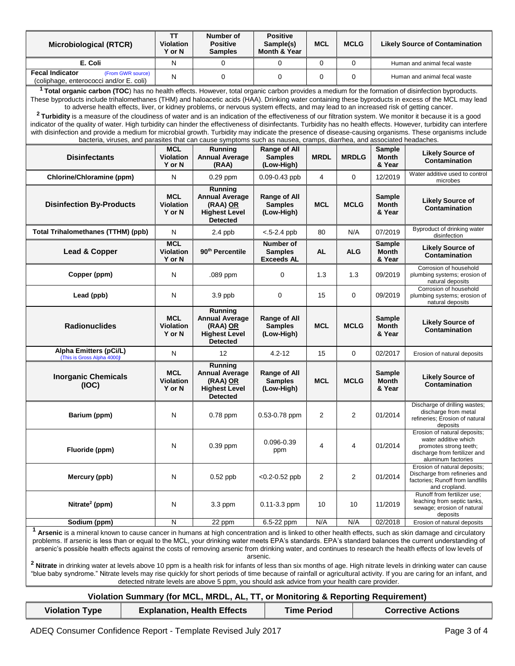| <b>Microbiological (RTCR)</b>                                                                                                                                                                                                                                                                                                                                                                                                                                                                                                                                                                                                                                                                                                                                                                                                                                                                                                                   | <b>TT</b><br><b>Violation</b><br>Y or N  | Number of<br><b>Positive</b><br><b>Samples</b>                                                 | <b>Positive</b><br>Sample(s)<br>Month & Year     | <b>MCL</b>  | <b>MCLG</b>    |                                         | <b>Likely Source of Contamination</b>                                                                                                 |
|-------------------------------------------------------------------------------------------------------------------------------------------------------------------------------------------------------------------------------------------------------------------------------------------------------------------------------------------------------------------------------------------------------------------------------------------------------------------------------------------------------------------------------------------------------------------------------------------------------------------------------------------------------------------------------------------------------------------------------------------------------------------------------------------------------------------------------------------------------------------------------------------------------------------------------------------------|------------------------------------------|------------------------------------------------------------------------------------------------|--------------------------------------------------|-------------|----------------|-----------------------------------------|---------------------------------------------------------------------------------------------------------------------------------------|
| E. Coli                                                                                                                                                                                                                                                                                                                                                                                                                                                                                                                                                                                                                                                                                                                                                                                                                                                                                                                                         | N                                        | 0                                                                                              | 0                                                | 0           | $\mathbf 0$    | Human and animal fecal waste            |                                                                                                                                       |
| <b>Fecal Indicator</b><br>(From GWR source)<br>(coliphage, enterococci and/or E. coli)                                                                                                                                                                                                                                                                                                                                                                                                                                                                                                                                                                                                                                                                                                                                                                                                                                                          | N                                        | 0                                                                                              | 0                                                | 0           | $\Omega$       | Human and animal fecal waste            |                                                                                                                                       |
| <sup>1</sup> Total organic carbon (TOC) has no health effects. However, total organic carbon provides a medium for the formation of disinfection byproducts.<br>These byproducts include trihalomethanes (THM) and haloacetic acids (HAA). Drinking water containing these byproducts in excess of the MCL may lead<br>to adverse health effects, liver, or kidney problems, or nervous system effects, and may lead to an increased risk of getting cancer.<br><sup>2</sup> Turbidity is a measure of the cloudiness of water and is an indication of the effectiveness of our filtration system. We monitor it because it is a good                                                                                                                                                                                                                                                                                                           |                                          |                                                                                                |                                                  |             |                |                                         |                                                                                                                                       |
| indicator of the quality of water. High turbidity can hinder the effectiveness of disinfectants. Turbidity has no health effects. However, turbidity can interfere<br>with disinfection and provide a medium for microbial growth. Turbidity may indicate the presence of disease-causing organisms. These organisms include<br>bacteria, viruses, and parasites that can cause symptoms such as nausea, cramps, diarrhea, and associated headaches.                                                                                                                                                                                                                                                                                                                                                                                                                                                                                            |                                          |                                                                                                |                                                  |             |                |                                         |                                                                                                                                       |
| <b>Disinfectants</b>                                                                                                                                                                                                                                                                                                                                                                                                                                                                                                                                                                                                                                                                                                                                                                                                                                                                                                                            | <b>MCL</b><br><b>Violation</b><br>Y or N | Running<br><b>Annual Average</b><br>(RAA)                                                      | Range of All<br><b>Samples</b><br>(Low-High)     | <b>MRDL</b> | <b>MRDLG</b>   | <b>Sample</b><br>Month<br>& Year        | <b>Likely Source of</b><br>Contamination                                                                                              |
| Chlorine/Chloramine (ppm)                                                                                                                                                                                                                                                                                                                                                                                                                                                                                                                                                                                                                                                                                                                                                                                                                                                                                                                       | N                                        | 0.29 ppm                                                                                       | $0.09 - 0.43$ ppb                                | 4           | $\mathbf 0$    | 12/2019                                 | Water additive used to control<br>microbes                                                                                            |
| <b>Disinfection By-Products</b>                                                                                                                                                                                                                                                                                                                                                                                                                                                                                                                                                                                                                                                                                                                                                                                                                                                                                                                 | MCL<br><b>Violation</b><br>Y or N        | Running<br><b>Annual Average</b><br>(RAA) OR<br><b>Highest Level</b><br><b>Detected</b>        | Range of All<br><b>Samples</b><br>(Low-High)     | <b>MCL</b>  | <b>MCLG</b>    | <b>Sample</b><br>Month<br>& Year        | <b>Likely Source of</b><br><b>Contamination</b>                                                                                       |
| <b>Total Trihalomethanes (TTHM) (ppb)</b>                                                                                                                                                                                                                                                                                                                                                                                                                                                                                                                                                                                                                                                                                                                                                                                                                                                                                                       | N                                        | 2.4 ppb                                                                                        | $< 5 - 2.4$ ppb                                  | 80          | N/A            | 07/2019                                 | Byproduct of drinking water<br>disinfection                                                                                           |
| Lead & Copper                                                                                                                                                                                                                                                                                                                                                                                                                                                                                                                                                                                                                                                                                                                                                                                                                                                                                                                                   | <b>MCL</b><br>Violation<br>Y or N        | 90 <sup>th</sup> Percentile                                                                    | Number of<br><b>Samples</b><br><b>Exceeds AL</b> | <b>AL</b>   | <b>ALG</b>     | <b>Sample</b><br><b>Month</b><br>& Year | <b>Likely Source of</b><br><b>Contamination</b>                                                                                       |
| Copper (ppm)                                                                                                                                                                                                                                                                                                                                                                                                                                                                                                                                                                                                                                                                                                                                                                                                                                                                                                                                    | N                                        | .089 ppm                                                                                       | 0                                                | 1.3         | 1.3            | 09/2019                                 | Corrosion of household<br>plumbing systems; erosion of<br>natural deposits                                                            |
| Lead (ppb)                                                                                                                                                                                                                                                                                                                                                                                                                                                                                                                                                                                                                                                                                                                                                                                                                                                                                                                                      | N                                        | $3.9$ ppb                                                                                      | 0                                                | 15          | $\mathbf 0$    | 09/2019                                 | Corrosion of household<br>plumbing systems; erosion of<br>natural deposits                                                            |
| <b>Radionuclides</b>                                                                                                                                                                                                                                                                                                                                                                                                                                                                                                                                                                                                                                                                                                                                                                                                                                                                                                                            | <b>MCL</b><br><b>Violation</b><br>Y or N | <b>Running</b><br><b>Annual Average</b><br>(RAA) OR<br><b>Highest Level</b><br><b>Detected</b> | Range of All<br><b>Samples</b><br>(Low-High)     | <b>MCL</b>  | <b>MCLG</b>    | Sample<br>Month<br>& Year               | <b>Likely Source of</b><br>Contamination                                                                                              |
| Alpha Emitters (pCi/L)<br>(This is Gross Alpha 4000)                                                                                                                                                                                                                                                                                                                                                                                                                                                                                                                                                                                                                                                                                                                                                                                                                                                                                            | N                                        | $12 \overline{ }$                                                                              | $4.2 - 12$                                       | 15          | 0              | 02/2017                                 | Erosion of natural deposits                                                                                                           |
| <b>Inorganic Chemicals</b><br>(IOC)                                                                                                                                                                                                                                                                                                                                                                                                                                                                                                                                                                                                                                                                                                                                                                                                                                                                                                             | <b>MCL</b><br><b>Violation</b><br>Y or N | Running<br><b>Annual Average</b><br>(RAA) <u>OR</u><br><b>Highest Level</b><br><b>Detected</b> | Range of All<br><b>Samples</b><br>(Low-High)     | <b>MCL</b>  | <b>MCLG</b>    | <b>Sample</b><br>Month<br>& Year        | <b>Likely Source of</b><br>Contamination                                                                                              |
| Barium (ppm)                                                                                                                                                                                                                                                                                                                                                                                                                                                                                                                                                                                                                                                                                                                                                                                                                                                                                                                                    | N                                        | 0.78 ppm                                                                                       | 0.53-0.78 ppm                                    | 2           | $\overline{2}$ | 01/2014                                 | Discharge of drilling wastes;<br>discharge from metal<br>refineries; Erosion of natural<br>deposits                                   |
| Fluoride (ppm)                                                                                                                                                                                                                                                                                                                                                                                                                                                                                                                                                                                                                                                                                                                                                                                                                                                                                                                                  | N                                        | 0.39 ppm                                                                                       | 0.096-0.39<br>ppm                                | 4           | 4              | 01/2014                                 | Erosion of natural deposits;<br>water additive which<br>promotes strong teeth;<br>discharge from fertilizer and<br>aluminum factories |
| Mercury (ppb)                                                                                                                                                                                                                                                                                                                                                                                                                                                                                                                                                                                                                                                                                                                                                                                                                                                                                                                                   | N                                        | $0.52$ ppb                                                                                     | $< 0.2 - 0.52$ ppb                               | 2           | $\overline{2}$ | 01/2014                                 | Erosion of natural deposits;<br>Discharge from refineries and<br>factories; Runoff from landfills<br>and cropland.                    |
| Nitrate <sup>2</sup> (ppm)                                                                                                                                                                                                                                                                                                                                                                                                                                                                                                                                                                                                                                                                                                                                                                                                                                                                                                                      | N                                        | 3.3 ppm                                                                                        | $0.11 - 3.3$ ppm                                 | 10          | 10             | 11/2019                                 | Runoff from fertilizer use;<br>leaching from septic tanks.<br>sewage; erosion of natural<br>deposits                                  |
| Sodium (ppm)                                                                                                                                                                                                                                                                                                                                                                                                                                                                                                                                                                                                                                                                                                                                                                                                                                                                                                                                    | N                                        | 22 ppm                                                                                         | 6.5-22 ppm                                       | N/A         | N/A            | 02/2018                                 | Erosion of natural deposits                                                                                                           |
| Arsenic is a mineral known to cause cancer in humans at high concentration and is linked to other health effects, such as skin damage and circulatory<br>problems. If arsenic is less than or equal to the MCL, your drinking water meets EPA's standards. EPA's standard balances the current understanding of<br>arsenic's possible health effects against the costs of removing arsenic from drinking water, and continues to research the health effects of low levels of<br>arsenic.<br><sup>2</sup> Nitrate in drinking water at levels above 10 ppm is a health risk for infants of less than six months of age. High nitrate levels in drinking water can cause<br>"blue baby syndrome." Nitrate levels may rise quickly for short periods of time because of rainfall or agricultural activity. If you are caring for an infant, and<br>detected nitrate levels are above 5 ppm, you should ask advice from your health care provider. |                                          |                                                                                                |                                                  |             |                |                                         |                                                                                                                                       |

# **Violation Summary (for MCL, MRDL, AL, TT, or Monitoring & Reporting Requirement)**

| <b>Violation Type</b> | <b>Explanation, Health Effects</b> | <b>Time Period</b> | <b>Corrective Actions</b> |
|-----------------------|------------------------------------|--------------------|---------------------------|
|                       |                                    |                    |                           |